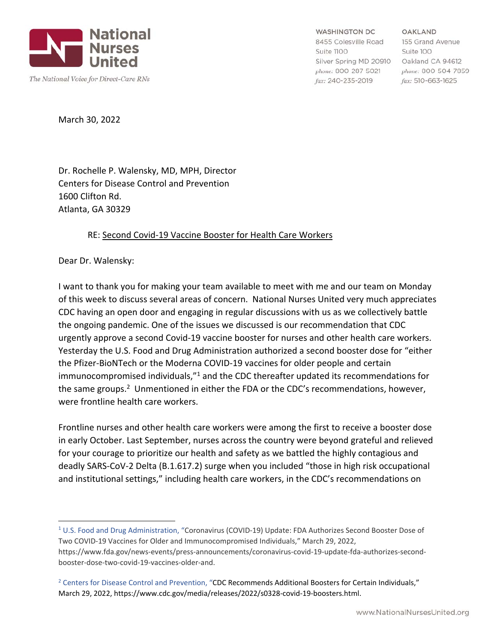

**WASHINGTON DC** 

8455 Colesville Road Suite 1100 Silver Spring MD 20910 Oakland CA 94612 phone: 800-287-5021 fax: 240-235-2019

OAKLAND 155 Grand Avenue Suite 100 phone: 800-504-7859 fax: 510-663-1625

March 30, 2022

Dr. Rochelle P. Walensky, MD, MPH, Director Centers for Disease Control and Prevention 1600 Clifton Rd. Atlanta, GA 30329

## RE: Second Covid‐19 Vaccine Booster for Health Care Workers

Dear Dr. Walensky:

I want to thank you for making your team available to meet with me and our team on Monday of this week to discuss several areas of concern. National Nurses United very much appreciates CDC having an open door and engaging in regular discussions with us as we collectively battle the ongoing pandemic. One of the issues we discussed is our recommendation that CDC urgently approve a second Covid‐19 vaccine booster for nurses and other health care workers. Yesterday the U.S. Food and Drug Administration authorized a second booster dose for "either the Pfizer‐BioNTech or the Moderna COVID‐19 vaccines for older people and certain immunocompromised individuals,"<sup>1</sup> and the CDC thereafter updated its recommendations for the same groups.<sup>2</sup> Unmentioned in either the FDA or the CDC's recommendations, however, were frontline health care workers.

Frontline nurses and other health care workers were among the first to receive a booster dose in early October. Last September, nurses across the country were beyond grateful and relieved for your courage to prioritize our health and safety as we battled the highly contagious and deadly SARS‐CoV‐2 Delta (B.1.617.2) surge when you included "those in high risk occupational and institutional settings," including health care workers, in the CDC's recommendations on

<sup>&</sup>lt;sup>1</sup> U.S. Food and Drug Administration, "Coronavirus (COVID-19) Update: FDA Authorizes Second Booster Dose of Two COVID‐19 Vaccines for Older and Immunocompromised Individuals," March 29, 2022, https://www.fda.gov/news-events/press-announcements/coronavirus-covid-19-update-fda-authorizes-secondbooster‐dose‐two‐covid‐19‐vaccines‐older‐and.

<sup>&</sup>lt;sup>2</sup> Centers for Disease Control and Prevention, "CDC Recommends Additional Boosters for Certain Individuals," March 29, 2022, https://www.cdc.gov/media/releases/2022/s0328‐covid‐19‐boosters.html.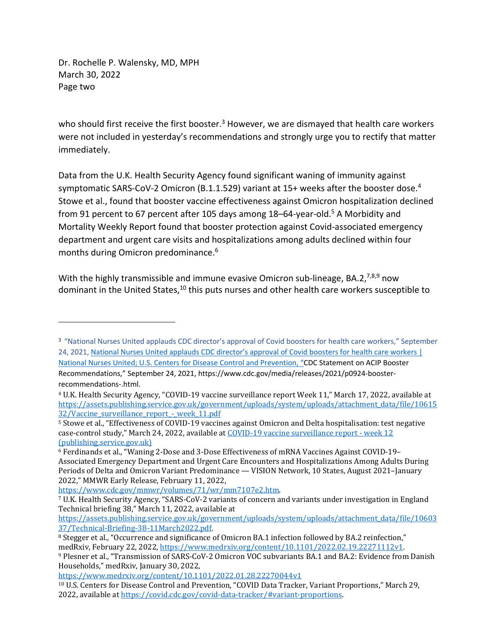Dr. Rochelle P. Walensky, MD, MPH March 30, 2022 Page two

who should first receive the first booster.<sup>3</sup> However, we are dismayed that health care workers were not included in yesterday's recommendations and strongly urge you to rectify that matter immediately.

Data from the U.K. Health Security Agency found significant waning of immunity against symptomatic SARS-CoV-2 Omicron (B.1.1.529) variant at 15+ weeks after the booster dose.<sup>4</sup> Stowe et al., found that booster vaccine effectiveness against Omicron hospitalization declined from 91 percent to 67 percent after 105 days among 18–64-year-old.<sup>5</sup> A Morbidity and Mortality Weekly Report found that booster protection against Covid‐associated emergency department and urgent care visits and hospitalizations among adults declined within four months during Omicron predominance.6

With the highly transmissible and immune evasive Omicron sub-lineage, BA.2,<sup>7,8,9</sup> now dominant in the United States,<sup>10</sup> this puts nurses and other health care workers susceptible to

<sup>3</sup> "National Nurses United applauds CDC director's approval of Covid boosters for health care workers," September 24, 2021, National Nurses United applauds CDC director's approval of Covid boosters for health care workers | National Nurses United; U.S. Centers for Disease Control and Prevention, "CDC Statement on ACIP Booster Recommendations," September 24, 2021, https://www.cdc.gov/media/releases/2021/p0924‐booster‐ recommendations‐.html.

<sup>4</sup> U.K. Health Security Agency, "COVID-19 vaccine surveillance report Week 11," March 17, 2022, available at https://assets.publishing.service.gov.uk/government/uploads/system/uploads/attachment\_data/file/10615 32/Vaccine\_surveillance\_report -\_week\_11.pdf<br><sup>5</sup> Stowe et al., "Effectiveness of COVID-19 vaccines against Omicron and Delta hospitalisation: test negative

case-control study," March 24, 2022, available at COVID-19 vaccine surveillance report - week 12 (publishing.service.gov.uk)

<sup>6</sup> Ferdinands et al., "Waning 2-Dose and 3-Dose Effectiveness of mRNA Vaccines Against COVID-19– Associated Emergency Department and Urgent Care Encounters and Hospitalizations Among Adults During Periods of Delta and Omicron Variant Predominance — VISION Network, 10 States, August 2021–January 2022," MMWR Early Release, February 11, 2022,

https://www.cdc.gov/mmwr/volumes/71/wr/mm7107e2.htm.<br>7 U.K. Health Security Agency, "SARS-CoV-2 variants of concern and variants under investigation in England Technical briefing 38," March 11, 2022, available at

https://assets.publishing.service.gov.uk/government/uploads/system/uploads/attachment\_data/file/10603 37/Technical-Briefing-38-11March2022.pdf.<br><sup>8</sup> Stegger et al., "Occurrence and significance of Omicron BA.1 infection followed by BA.2 reinfection,"

medRxiv, February 22, 2022, https://www.medrxiv.org/content/10.1101/2022.02.19.22271112v1.

<sup>9</sup> Plesner et al., "Transmission of SARS-CoV-2 Omicron VOC subvariants BA.1 and BA.2: Evidence from Danish Households," medRxiv, January 30, 2022,

https://www.medrxiv.org/content/10.1101/2022.01.28.22270044v1<br><sup>10</sup> U.S. Centers for Disease Control and Prevention, "COVID Data Tracker, Variant Proportions," March 29, 2022, available at https://covid.cdc.gov/covid-data-tracker/#variant-proportions.